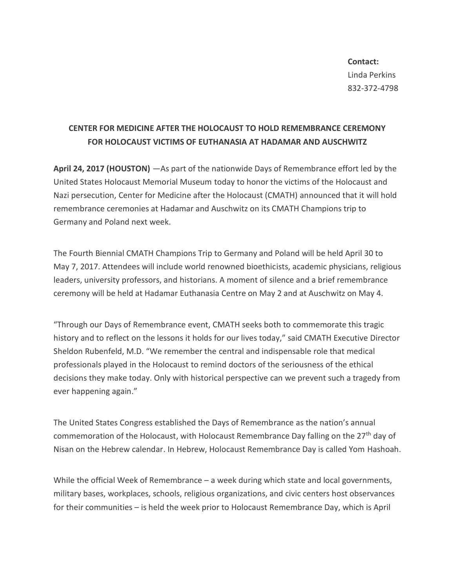**Contact:** Linda Perkins 832-372-4798

## **CENTER FOR MEDICINE AFTER THE HOLOCAUST TO HOLD REMEMBRANCE CEREMONY FOR HOLOCAUST VICTIMS OF EUTHANASIA AT HADAMAR AND AUSCHWITZ**

**April 24, 2017 (HOUSTON)** —As part of the nationwide Days of Remembrance effort led by the United States Holocaust Memorial Museum today to honor the victims of the Holocaust and Nazi persecution, Center for Medicine after the Holocaust (CMATH) announced that it will hold remembrance ceremonies at Hadamar and Auschwitz on its CMATH Champions trip to Germany and Poland next week.

The Fourth Biennial CMATH Champions Trip to Germany and Poland will be held April 30 to May 7, 2017. Attendees will include world renowned bioethicists, academic physicians, religious leaders, university professors, and historians. A moment of silence and a brief remembrance ceremony will be held at Hadamar Euthanasia Centre on May 2 and at Auschwitz on May 4.

"Through our Days of Remembrance event, CMATH seeks both to commemorate this tragic history and to reflect on the lessons it holds for our lives today," said CMATH Executive Director Sheldon Rubenfeld, M.D. "We remember the central and indispensable role that medical professionals played in the Holocaust to remind doctors of the seriousness of the ethical decisions they make today. Only with historical perspective can we prevent such a tragedy from ever happening again."

The United States Congress established the Days of Remembrance as the nation's annual commemoration of the Holocaust, with Holocaust Remembrance Day falling on the  $27<sup>th</sup>$  day of Nisan on the Hebrew calendar. In Hebrew, Holocaust Remembrance Day is called Yom Hashoah.

While the official Week of Remembrance – a week during which state and local governments, military bases, workplaces, schools, religious organizations, and civic centers host observances for their communities – is held the week prior to Holocaust Remembrance Day, which is April